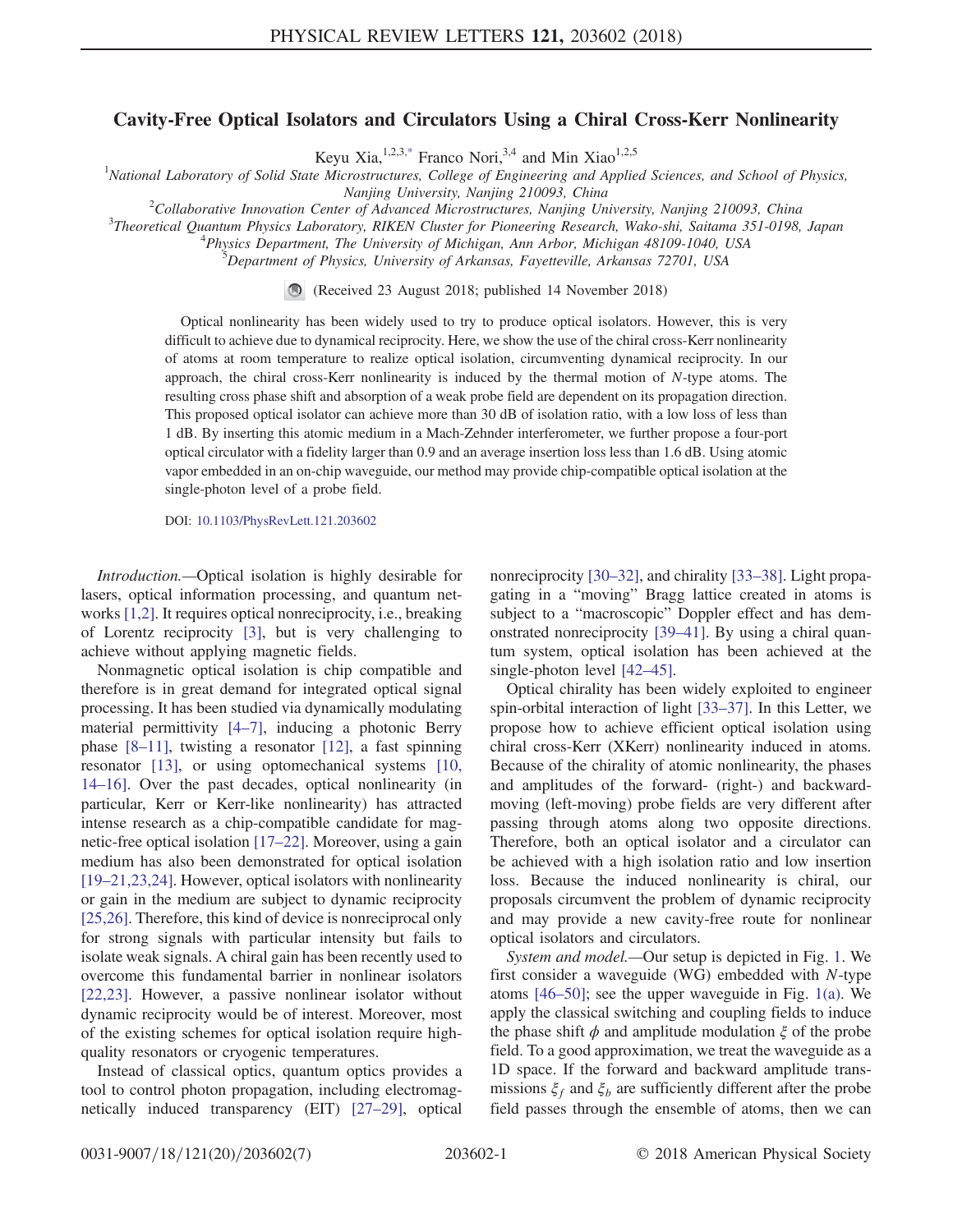## Cavity-Free Optical Isolators and Circulators Using a Chiral Cross-Kerr Nonlinearity

Keyu Xia,  $^{1,2,3,*}$  $^{1,2,3,*}$  $^{1,2,3,*}$  Franco Nori,  $^{3,4}$  and Min Xiao<sup>1,2,5</sup>

<span id="page-0-0"></span><sup>1</sup>National Laboratory of Solid State Microstructures, College of Engineering and Applied Sciences, and School of Physics,

Nanjing University, Nanjing 210093, China<br><sup>2</sup>Collaborative Innovation Center of Advanced Microstructures, Nanjing Un

<sup>2</sup>Collaborative Innovation Center of Advanced Microstructures, Nanjing University, Nanjing 210093, China <sup>3</sup>Theoretical Quantum Physics I ghoratemy PIKEN Cluster for Bioneeving Pessarah, Wake this Saitama 251,0108

<sup>3</sup>Theoretical Quantum Physics Laboratory, RIKEN Cluster for Pioneering Research, Wako-shi, Saitama 351-0198, Japan

 $P<sup>4</sup> Physics Department, The University of Michigan, Ann Arbor, Michigan 48109-1040, USA$ 

Department of Physics, University of Arkansas, Fayetteville, Arkansas 72701, USA

(Received 23 August 2018; published 14 November 2018)

Optical nonlinearity has been widely used to try to produce optical isolators. However, this is very difficult to achieve due to dynamical reciprocity. Here, we show the use of the chiral cross-Kerr nonlinearity of atoms at room temperature to realize optical isolation, circumventing dynamical reciprocity. In our approach, the chiral cross-Kerr nonlinearity is induced by the thermal motion of  $N$ -type atoms. The resulting cross phase shift and absorption of a weak probe field are dependent on its propagation direction. This proposed optical isolator can achieve more than 30 dB of isolation ratio, with a low loss of less than 1 dB. By inserting this atomic medium in a Mach-Zehnder interferometer, we further propose a four-port optical circulator with a fidelity larger than 0.9 and an average insertion loss less than 1.6 dB. Using atomic vapor embedded in an on-chip waveguide, our method may provide chip-compatible optical isolation at the single-photon level of a probe field.

DOI: [10.1103/PhysRevLett.121.203602](https://doi.org/10.1103/PhysRevLett.121.203602)

Introduction.—Optical isolation is highly desirable for lasers, optical information processing, and quantum networks [\[1,2\]](#page-4-1). It requires optical nonreciprocity, i.e., breaking of Lorentz reciprocity [\[3\]](#page-4-2), but is very challenging to achieve without applying magnetic fields.

Nonmagnetic optical isolation is chip compatible and therefore is in great demand for integrated optical signal processing. It has been studied via dynamically modulating material permittivity [\[4](#page-4-3)–7], inducing a photonic Berry phase [8–[11\]](#page-4-4), twisting a resonator [\[12\]](#page-4-5), a fast spinning resonator [\[13\],](#page-4-6) or using optomechanical systems [\[10,](#page-4-7) 14–[16\].](#page-4-7) Over the past decades, optical nonlinearity (in particular, Kerr or Kerr-like nonlinearity) has attracted intense research as a chip-compatible candidate for magnetic-free optical isolation [\[17](#page-5-0)–22]. Moreover, using a gain medium has also been demonstrated for optical isolation [19–[21,23,24\]](#page-5-1). However, optical isolators with nonlinearity or gain in the medium are subject to dynamic reciprocity [\[25,26\]](#page-5-2). Therefore, this kind of device is nonreciprocal only for strong signals with particular intensity but fails to isolate weak signals. A chiral gain has been recently used to overcome this fundamental barrier in nonlinear isolators [\[22,23\]](#page-5-3). However, a passive nonlinear isolator without dynamic reciprocity would be of interest. Moreover, most of the existing schemes for optical isolation require highquality resonators or cryogenic temperatures.

Instead of classical optics, quantum optics provides a tool to control photon propagation, including electromagnetically induced transparency (EIT) [27–[29\],](#page-5-4) optical nonreciprocity [30–[32\],](#page-5-5) and chirality [\[33](#page-5-6)–38]. Light propagating in a "moving" Bragg lattice created in atoms is subject to a "macroscopic" Doppler effect and has demonstrated nonreciprocity [\[39](#page-5-7)–41]. By using a chiral quantum system, optical isolation has been achieved at the single-photon level [\[42](#page-5-8)–45].

Optical chirality has been widely exploited to engineer spin-orbital interaction of light [\[33](#page-5-6)–37]. In this Letter, we propose how to achieve efficient optical isolation using chiral cross-Kerr (XKerr) nonlinearity induced in atoms. Because of the chirality of atomic nonlinearity, the phases and amplitudes of the forward- (right-) and backwardmoving (left-moving) probe fields are very different after passing through atoms along two opposite directions. Therefore, both an optical isolator and a circulator can be achieved with a high isolation ratio and low insertion loss. Because the induced nonlinearity is chiral, our proposals circumvent the problem of dynamic reciprocity and may provide a new cavity-free route for nonlinear optical isolators and circulators.

System and model.—Our setup is depicted in Fig. [1.](#page-1-0) We first consider a waveguide (WG) embedded with N-type atoms [\[46](#page-5-9)–50]; see the upper waveguide in Fig. [1\(a\)](#page-1-0). We apply the classical switching and coupling fields to induce the phase shift  $\phi$  and amplitude modulation  $\xi$  of the probe field. To a good approximation, we treat the waveguide as a 1D space. If the forward and backward amplitude transmissions  $\xi_f$  and  $\xi_b$  are sufficiently different after the probe field passes through the ensemble of atoms, then we can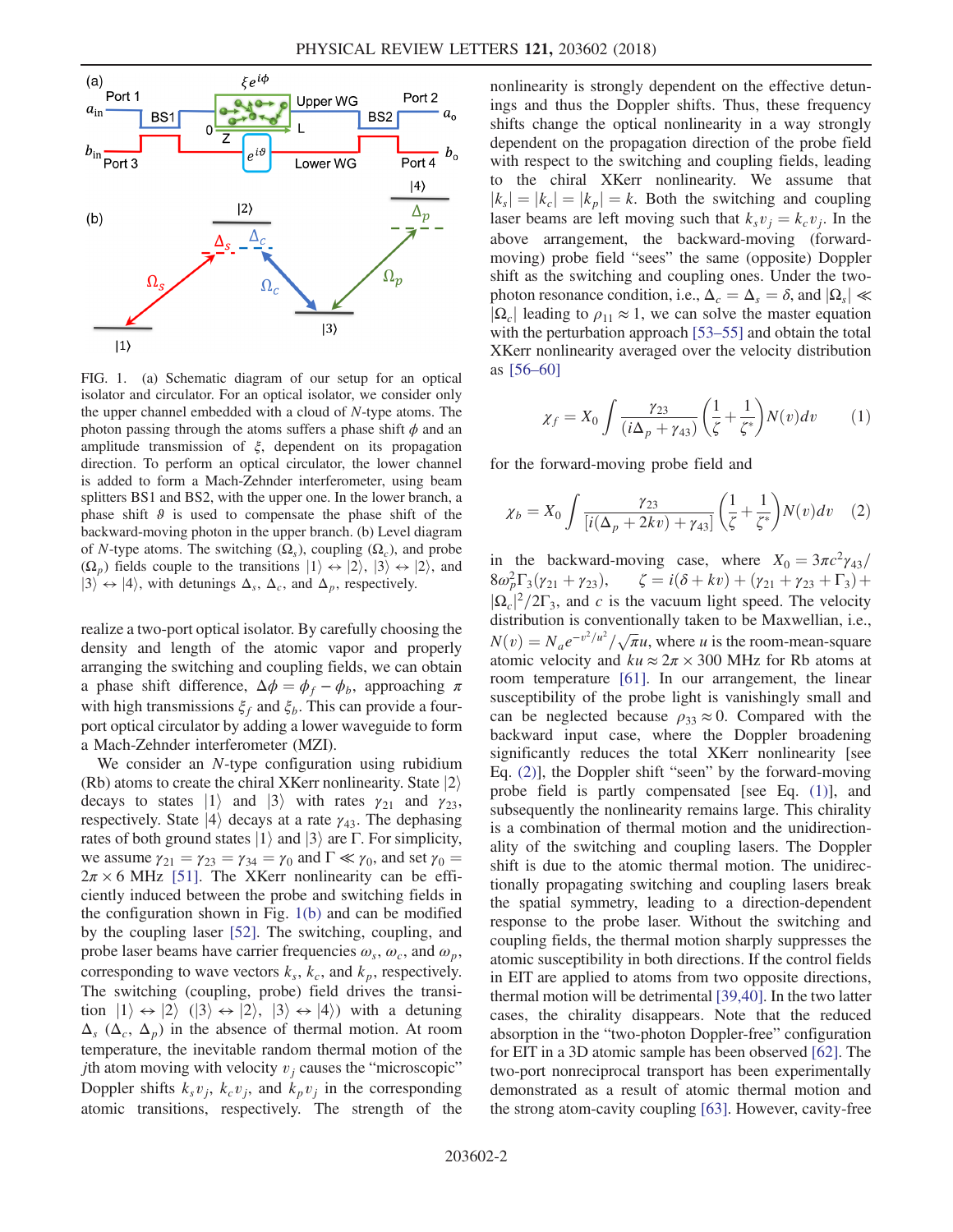<span id="page-1-0"></span>

FIG. 1. (a) Schematic diagram of our setup for an optical isolator and circulator. For an optical isolator, we consider only the upper channel embedded with a cloud of N-type atoms. The photon passing through the atoms suffers a phase shift  $\phi$  and an amplitude transmission of  $\xi$ , dependent on its propagation direction. To perform an optical circulator, the lower channel is added to form a Mach-Zehnder interferometer, using beam splitters BS1 and BS2, with the upper one. In the lower branch, a phase shift  $\vartheta$  is used to compensate the phase shift of the backward-moving photon in the upper branch. (b) Level diagram of N-type atoms. The switching  $(\Omega_s)$ , coupling  $(\Omega_c)$ , and probe  $(\Omega_n)$  fields couple to the transitions  $|1\rangle \leftrightarrow |2\rangle$ ,  $|3\rangle \leftrightarrow |2\rangle$ , and  $|3\rangle \leftrightarrow |4\rangle$ , with detunings  $\Delta_s$ ,  $\Delta_c$ , and  $\Delta_p$ , respectively.

realize a two-port optical isolator. By carefully choosing the density and length of the atomic vapor and properly arranging the switching and coupling fields, we can obtain a phase shift difference,  $\Delta \phi = \phi_f - \phi_b$ , approaching  $\pi$ with high transmissions  $\xi_f$  and  $\xi_b$ . This can provide a fourport optical circulator by adding a lower waveguide to form a Mach-Zehnder interferometer (MZI).

We consider an N-type configuration using rubidium (Rb) atoms to create the chiral XKerr nonlinearity. State  $|2\rangle$ decays to states  $|1\rangle$  and  $|3\rangle$  with rates  $\gamma_{21}$  and  $\gamma_{23}$ , respectively. State  $|4\rangle$  decays at a rate  $\gamma_{43}$ . The dephasing rates of both ground states  $|1\rangle$  and  $|3\rangle$  are Γ. For simplicity, we assume  $\gamma_{21} = \gamma_{23} = \gamma_{34} = \gamma_0$  and  $\Gamma \ll \gamma_0$ , and set  $\gamma_0 =$  $2\pi \times 6$  MHz [\[51\].](#page-5-10) The XKerr nonlinearity can be efficiently induced between the probe and switching fields in the configuration shown in Fig. [1\(b\)](#page-1-0) and can be modified by the coupling laser [\[52\].](#page-6-0) The switching, coupling, and probe laser beams have carrier frequencies  $\omega_s$ ,  $\omega_c$ , and  $\omega_p$ , corresponding to wave vectors  $k_s$ ,  $k_c$ , and  $k_p$ , respectively. The switching (coupling, probe) field drives the transition  $|1\rangle \leftrightarrow |2\rangle$  ( $|3\rangle \leftrightarrow |2\rangle$ ,  $|3\rangle \leftrightarrow |4\rangle$ ) with a detuning  $\Delta_s$  ( $\Delta_c$ ,  $\Delta_p$ ) in the absence of thermal motion. At room temperature, the inevitable random thermal motion of the *j*th atom moving with velocity  $v_i$  causes the "microscopic" Doppler shifts  $k_s v_i$ ,  $k_c v_i$ , and  $k_p v_i$  in the corresponding atomic transitions, respectively. The strength of the nonlinearity is strongly dependent on the effective detunings and thus the Doppler shifts. Thus, these frequency shifts change the optical nonlinearity in a way strongly dependent on the propagation direction of the probe field with respect to the switching and coupling fields, leading to the chiral XKerr nonlinearity. We assume that  $|k_s| = |k_c| = |k_p| = k$ . Both the switching and coupling laser beams are left moving such that  $k_s v_i = k_c v_i$ . In the above arrangement, the backward-moving (forwardmoving) probe field "sees" the same (opposite) Doppler shift as the switching and coupling ones. Under the twophoton resonance condition, i.e.,  $\Delta_c = \Delta_s = \delta$ , and  $|\Omega_s| \ll$  $|\Omega_c|$  leading to  $\rho_{11} \approx 1$ , we can solve the master equation with the perturbation approach [53–[55\]](#page-6-1) and obtain the total XKerr nonlinearity averaged over the velocity distribution as [\[56](#page-6-2)–60]

<span id="page-1-2"></span>
$$
\chi_f = X_0 \int \frac{\gamma_{23}}{(i\Delta_p + \gamma_{43})} \left(\frac{1}{\zeta} + \frac{1}{\zeta^*}\right) N(v) dv \qquad (1)
$$

<span id="page-1-1"></span>for the forward-moving probe field and

$$
\chi_b = X_0 \int \frac{\gamma_{23}}{\left[i(\Delta_p + 2kv) + \gamma_{43}\right]} \left(\frac{1}{\zeta} + \frac{1}{\zeta^*}\right) N(v) dv \quad (2)
$$

in the backward-moving case, where  $X_0 = 3\pi c^2 \gamma_{43}/$  $8\omega_p^2\Gamma_3(\gamma_{21}+\gamma_{23}),$  $\zeta = i(\delta + kv) + (\gamma_{21} + \gamma_{23} + \Gamma_3) +$  $|\Omega_c|^2/2\Gamma_3$ , and c is the vacuum light speed. The velocity distribution is conventionally taken to be Maxwellian i.e. distribution is conventionally taken to be Maxwellian, i.e.,  $N(v) = N_a e^{-v^2/u^2}/\sqrt{\pi}u$ , where u is the room-mean-square<br>atomic velocity and  $ku \approx 2\pi \times 300$  MHz for Rb atoms at atomic velocity and  $ku \approx 2\pi \times 300$  MHz for Rb atoms at room temperature [\[61\]](#page-6-3). In our arrangement, the linear susceptibility of the probe light is vanishingly small and can be neglected because  $\rho_{33} \approx 0$ . Compared with the backward input case, where the Doppler broadening significantly reduces the total XKerr nonlinearity [see Eq. [\(2\)\]](#page-1-1), the Doppler shift "seen" by the forward-moving probe field is partly compensated [see Eq. [\(1\)](#page-1-2)], and subsequently the nonlinearity remains large. This chirality is a combination of thermal motion and the unidirectionality of the switching and coupling lasers. The Doppler shift is due to the atomic thermal motion. The unidirectionally propagating switching and coupling lasers break the spatial symmetry, leading to a direction-dependent response to the probe laser. Without the switching and coupling fields, the thermal motion sharply suppresses the atomic susceptibility in both directions. If the control fields in EIT are applied to atoms from two opposite directions, thermal motion will be detrimental [\[39,40\].](#page-5-7) In the two latter cases, the chirality disappears. Note that the reduced absorption in the "two-photon Doppler-free" configuration for EIT in a 3D atomic sample has been observed [\[62\].](#page-6-4) The two-port nonreciprocal transport has been experimentally demonstrated as a result of atomic thermal motion and the strong atom-cavity coupling [\[63\].](#page-6-5) However, cavity-free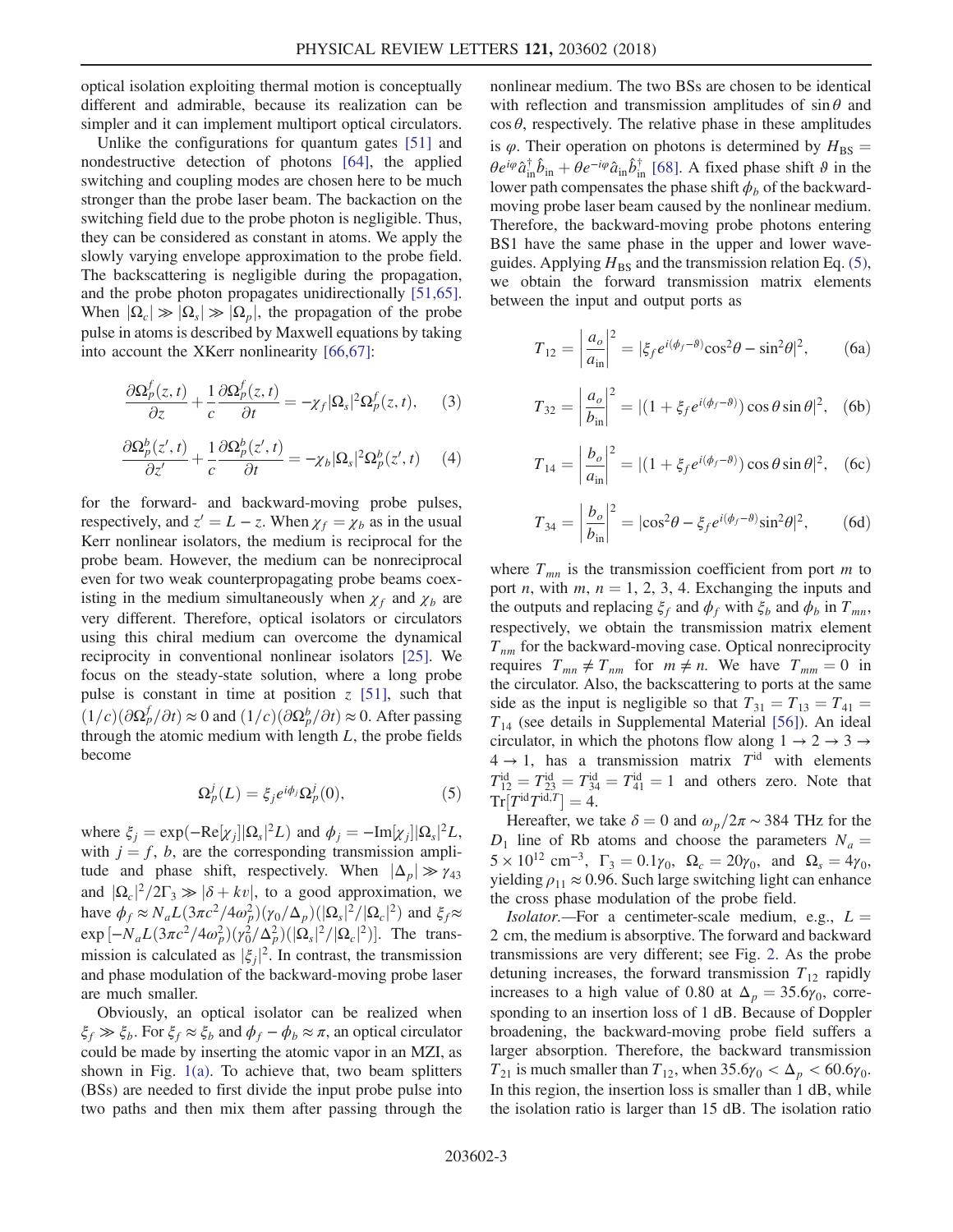optical isolation exploiting thermal motion is conceptually different and admirable, because its realization can be simpler and it can implement multiport optical circulators.

Unlike the configurations for quantum gates [\[51\]](#page-5-10) and nondestructive detection of photons [\[64\]](#page-6-6), the applied switching and coupling modes are chosen here to be much stronger than the probe laser beam. The backaction on the switching field due to the probe photon is negligible. Thus, they can be considered as constant in atoms. We apply the slowly varying envelope approximation to the probe field. The backscattering is negligible during the propagation, and the probe photon propagates unidirectionally [\[51,65\]](#page-5-10). When  $|\Omega_c| \gg |\Omega_s| \gg |\Omega_p|$ , the propagation of the probe pulse in atoms is described by Maxwell equations by taking into account the XKerr nonlinearity [\[66,67\]](#page-6-7):

<span id="page-2-1"></span>
$$
\frac{\partial \Omega_p^f(z,t)}{\partial z} + \frac{1}{c} \frac{\partial \Omega_p^f(z,t)}{\partial t} = -\chi_f |\Omega_s|^2 \Omega_p^f(z,t), \quad (3)
$$

<span id="page-2-2"></span>
$$
\frac{\partial \Omega_p^b(z',t)}{\partial z'} + \frac{1}{c} \frac{\partial \Omega_p^b(z',t)}{\partial t} = -\chi_b |\Omega_s|^2 \Omega_p^b(z',t) \tag{4}
$$

for the forward- and backward-moving probe pulses, respectively, and  $z' = L - z$ . When  $\chi_f = \chi_b$  as in the usual Kerr nonlinear isolators, the medium is reciprocal for the probe beam. However, the medium can be nonreciprocal even for two weak counterpropagating probe beams coexisting in the medium simultaneously when  $\chi_f$  and  $\chi_b$  are very different. Therefore, optical isolators or circulators using this chiral medium can overcome the dynamical reciprocity in conventional nonlinear isolators [\[25\].](#page-5-2) We focus on the steady-state solution, where a long probe pulse is constant in time at position  $z$  [\[51\],](#page-5-10) such that  $(1/c)(\partial \Omega_p^f / \partial t) \approx 0$  and  $(1/c)(\partial \Omega_p^b / \partial t) \approx 0$ . After passing<br>through the atomic medium with length *L*, the probe fields through the atomic medium with length  $L$ , the probe fields become

$$
\Omega_p^j(L) = \xi_j e^{i\phi_j} \Omega_p^j(0),\tag{5}
$$

<span id="page-2-0"></span>where  $\xi_j = \exp(-\text{Re}[\chi_j] | \Omega_s|^2 L)$  and  $\phi_j = -\text{Im}[\chi_j] | \Omega_s|^2 L$ ,<br>with  $j = f$  h are the corresponding transmission appliwith  $j = f$ , b, are the corresponding transmission amplitude and phase shift, respectively. When  $|\Delta_p| \gg \gamma_{43}$ and  $|\Omega_c|^2/2\Gamma_3 \gg |\delta + kv|$ , to a good approximation, we<br>have  $\phi_c \sim N L(3\pi c^2/(4\alpha^2)(\alpha/\Lambda_1)/|\Omega|^2/|\Omega|^2)$  and  $\xi \sim$ have  $\phi_f \approx N_a L (3\pi c^2/4\omega_p^2) (\gamma_0/\Delta_p) (\vert \Omega_s \vert^2/|\Omega_c \vert^2)$  and  $\xi_f \approx$ <br>
2xp  $\left[ N_c L (3\pi c^2/\Delta_c^2) (\omega_c^2/\Delta_c^2) (\vert \Omega_c \vert^2/|\Omega_c \vert^2) \right]$ . The trans  $\exp[-N_a L(3\pi c^2/4\omega_p^2)(\gamma_0^2/\Delta_p^2)(|\Omega_s|^2/|\Omega_c|^2)].$  The trans-<br>mission is coloulated as  $|\xi|^2$ . In contrast, the transmission mission is calculated as  $|\xi_j|^2$ . In contrast, the transmission<br>and phase modulation of the backward-moving probe laser and phase modulation of the backward-moving probe laser are much smaller.

Obviously, an optical isolator can be realized when  $\xi_f \gg \xi_b$ . For  $\xi_f \approx \xi_b$  and  $\phi_f - \phi_b \approx \pi$ , an optical circulator could be made by inserting the atomic vapor in an MZI, as shown in Fig. [1\(a\).](#page-1-0) To achieve that, two beam splitters (BSs) are needed to first divide the input probe pulse into two paths and then mix them after passing through the nonlinear medium. The two BSs are chosen to be identical with reflection and transmission amplitudes of  $\sin \theta$  and  $\cos \theta$ , respectively. The relative phase in these amplitudes is  $\varphi$ . Their operation on photons is determined by  $H_{BS} =$  $\theta e^{i\varphi} \hat{a}_{in}^{\dagger} \hat{b}_{in} + \theta e^{-i\varphi} \hat{a}_{in} \hat{b}_{in}^{\dagger}$  [\[68\]](#page-6-8). A fixed phase shift  $\vartheta$  in the lower path compensates the phase shift  $\phi$ , of the backwardlower path compensates the phase shift  $\phi_b$  of the backwardmoving probe laser beam caused by the nonlinear medium. Therefore, the backward-moving probe photons entering BS1 have the same phase in the upper and lower waveguides. Applying  $H_{BS}$  and the transmission relation Eq. [\(5\)](#page-2-0), we obtain the forward transmission matrix elements between the input and output ports as

$$
T_{12} = \left| \frac{a_o}{a_{\rm in}} \right|^2 = |\xi_f e^{i(\phi_f - \theta)} \cos^2 \theta - \sin^2 \theta|^2, \qquad (6a)
$$

$$
T_{32} = \left| \frac{a_o}{b_{\text{in}}} \right|^2 = | (1 + \xi_f e^{i(\phi_f - \theta)}) \cos \theta \sin \theta |^2, \quad (6b)
$$

$$
T_{14} = \left| \frac{b_o}{a_{\text{in}}} \right|^2 = | (1 + \xi_f e^{i(\phi_f - \theta)}) \cos \theta \sin \theta |^2, \quad (6c)
$$

$$
T_{34} = \left| \frac{b_o}{b_{\text{in}}} \right|^2 = |\cos^2 \theta - \xi_f e^{i(\phi_f - \theta)} \sin^2 \theta|^2, \qquad (6d)
$$

where  $T_{mn}$  is the transmission coefficient from port m to port *n*, with *m*,  $n = 1, 2, 3, 4$ . Exchanging the inputs and the outputs and replacing  $\xi_f$  and  $\phi_f$  with  $\xi_b$  and  $\phi_b$  in  $T_{mn}$ , respectively, we obtain the transmission matrix element  $T_{nm}$  for the backward-moving case. Optical nonreciprocity requires  $T_{mn} \neq T_{nm}$  for  $m \neq n$ . We have  $T_{mm} = 0$  in the circulator. Also, the backscattering to ports at the same side as the input is negligible so that  $T_{31} = T_{13} = T_{41}$  $T_{14}$  (see details in Supplemental Material [\[56\]](#page-6-2)). An ideal circulator, in which the photons flow along  $1 \rightarrow 2 \rightarrow 3 \rightarrow$  $4 \rightarrow 1$ , has a transmission matrix  $T<sup>id</sup>$  with elements  $T_{12}^{id} = T_{23}^{id} = T_{34}^{id} = T_{41}^{id} = 1$  and others zero. Note that  $T_{\text{F}}[T_{1}^{id}T_{1}^{id}T_{1} - A]$  $Tr[T^{id}T^{id,T}] = 4.$ 

Hereafter, we take  $\delta = 0$  and  $\omega_p/2\pi \sim 384$  THz for the  $D_1$  line of Rb atoms and choose the parameters  $N_a =$  $5 \times 10^{12}$  cm<sup>-3</sup>,  $\Gamma_3 = 0.1\gamma_0$ ,  $\Omega_c = 20\gamma_0$ , and  $\Omega_s = 4\gamma_0$ , yielding  $\rho_{11} \approx 0.96$ . Such large switching light can enhance the cross phase modulation of the probe field.

*Isolator.*—For a centimeter-scale medium, e.g.,  $L =$ 2 cm, the medium is absorptive. The forward and backward transmissions are very different; see Fig. [2](#page-3-0). As the probe detuning increases, the forward transmission  $T_{12}$  rapidly increases to a high value of 0.80 at  $\Delta_p = 35.6\gamma_0$ , corresponding to an insertion loss of 1 dB. Because of Doppler broadening, the backward-moving probe field suffers a larger absorption. Therefore, the backward transmission  $T_{21}$  is much smaller than  $T_{12}$ , when  $35.6\gamma_0 < \Delta_p < 60.6\gamma_0$ . In this region, the insertion loss is smaller than 1 dB, while the isolation ratio is larger than 15 dB. The isolation ratio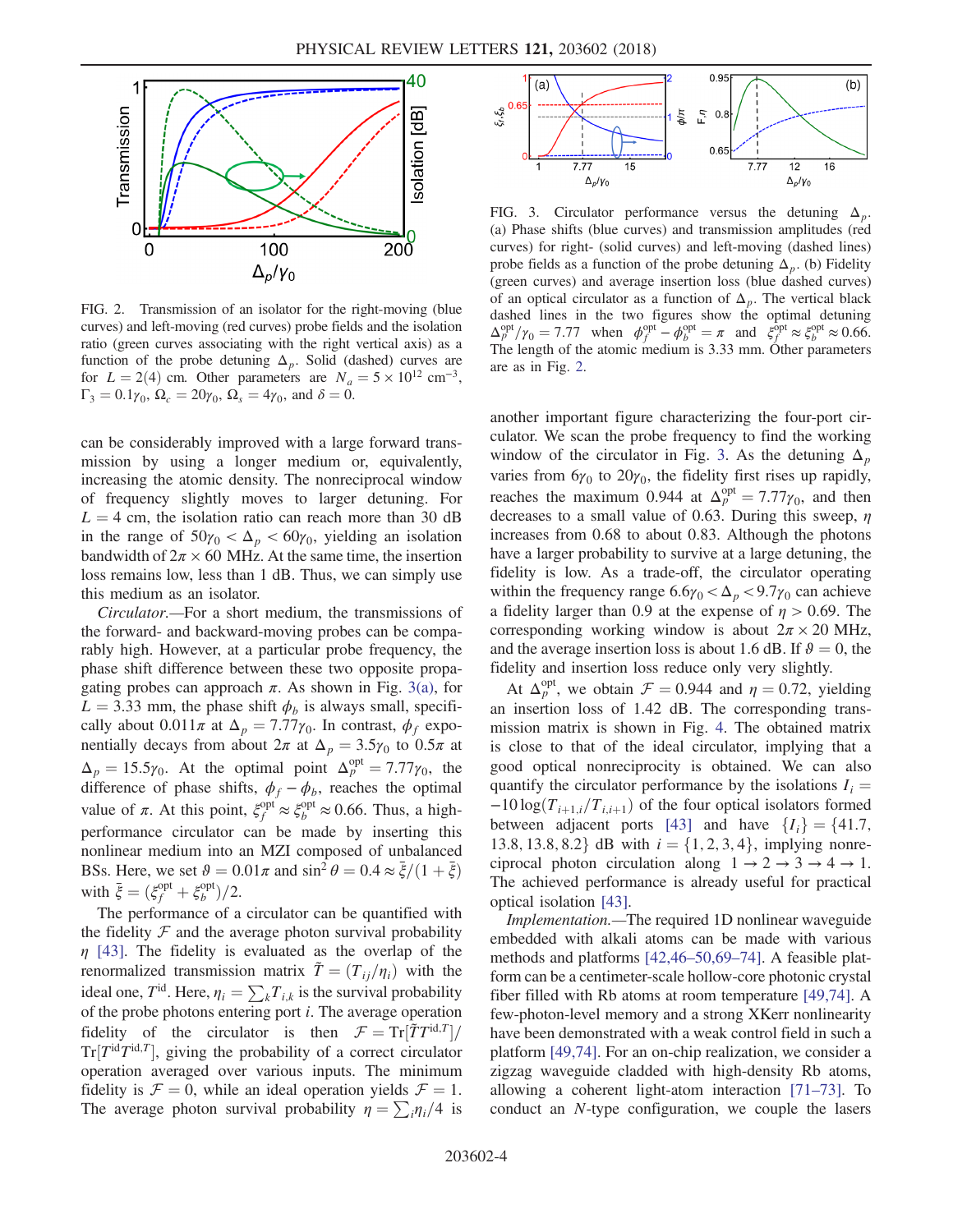<span id="page-3-0"></span>

FIG. 2. Transmission of an isolator for the right-moving (blue curves) and left-moving (red curves) probe fields and the isolation ratio (green curves associating with the right vertical axis) as a function of the probe detuning  $\Delta_p$ . Solid (dashed) curves are for  $L = 2(4)$  cm. Other parameters are  $N_a = 5 \times 10^{12}$  cm<sup>-3</sup>,  $\Gamma_3 = 0.1\gamma_0$ ,  $\Omega_c = 20\gamma_0$ ,  $\Omega_s = 4\gamma_0$ , and  $\delta = 0$ .

can be considerably improved with a large forward transmission by using a longer medium or, equivalently, increasing the atomic density. The nonreciprocal window of frequency slightly moves to larger detuning. For  $L = 4$  cm, the isolation ratio can reach more than 30 dB in the range of  $50\gamma_0 < \Delta_p < 60\gamma_0$ , yielding an isolation bandwidth of  $2\pi \times 60$  MHz. At the same time, the insertion loss remains low, less than 1 dB. Thus, we can simply use this medium as an isolator.

Circulator.—For a short medium, the transmissions of the forward- and backward-moving probes can be comparably high. However, at a particular probe frequency, the phase shift difference between these two opposite propagating probes can approach  $\pi$ . As shown in Fig. [3\(a\),](#page-3-1) for  $L = 3.33$  mm, the phase shift  $\phi_b$  is always small, specifically about  $0.011\pi$  at  $\Delta_p = 7.77\gamma_0$ . In contrast,  $\phi_f$  exponentially decays from about  $2\pi$  at  $\Delta_p = 3.5\gamma_0$  to  $0.5\pi$  at  $\Delta_p = 15.5\gamma_0$ . At the optimal point  $\Delta_p^{\text{opt}} = 7.77\gamma_0$ , the difference of phase shifts  $\phi_0$ ,  $\phi_0$  reaches the optimal difference of phase shifts,  $\phi_f - \phi_b$ , reaches the optimal value of  $\pi$ . At this point,  $\xi_f^{\text{opt}} \approx \xi_b^{\text{opt}} \approx 0.66$ . Thus, a highperformance circulator can be made by inserting this nonlinear medium into an MZI composed of unbalanced BSs. Here, we set  $\theta = 0.01\pi$  and  $\sin^2 \theta = 0.4 \approx \frac{\bar{\xi}}{(1 + \bar{\xi})}$ with  $\bar{\xi} = (\xi_f^{\text{opt}} + \xi_b^{\text{opt}})/2$ .<br>The performance of a

The performance of a circulator can be quantified with the fidelity  $F$  and the average photon survival probability  $\eta$  [\[43\].](#page-5-11) The fidelity is evaluated as the overlap of the renormalized transmission matrix  $\tilde{T} = (T_{ii}/\eta_i)$  with the ideal one,  $T^{\text{id}}$ . Here,  $\eta_i = \sum_k T_{i,k}$  is the survival probability of the probe photons entering port  $i$ . The average operation fidelity of the circulator is then  $\mathcal{F} = Tr[\tilde{T}T^{\text{id},T}]$  $Tr[T^{id}T^{id,T}]$ , giving the probability of a correct circulator operation averaged over various inputs. The minimum fidelity is  $\mathcal{F} = 0$ , while an ideal operation yields  $\mathcal{F} = 1$ . The average photon survival probability  $\eta = \sum_i \eta_i/4$  is

<span id="page-3-1"></span>

FIG. 3. Circulator performance versus the detuning  $\Delta_n$ . (a) Phase shifts (blue curves) and transmission amplitudes (red curves) for right- (solid curves) and left-moving (dashed lines) probe fields as a function of the probe detuning  $\Delta_p$ . (b) Fidelity (green curves) and average insertion loss (blue dashed curves) of an optical circulator as a function of  $\Delta_p$ . The vertical black dashed lines in the two figures show the optimal detuning  $\Delta_{p}^{\text{opt}}/\gamma_0 = 7.77$  when  $\phi_{p}^{\text{opt}} - \phi_{p}^{\text{opt}} = \pi$  and  $\xi_{p}^{\text{opt}} \approx \xi_{p}^{\text{opt}} \approx 0.66$ .<br>The length of the atomic medium is 3.33 mm. Other parameters The length of the atomic medium is 3.33 mm. Other parameters are as in Fig. [2.](#page-3-0)

another important figure characterizing the four-port circulator. We scan the probe frequency to find the working window of the circulator in Fig. [3](#page-3-1). As the detuning  $\Delta_p$ varies from  $6\gamma_0$  to  $20\gamma_0$ , the fidelity first rises up rapidly, reaches the maximum 0.944 at  $\Delta_p^{\text{opt}} = 7.77\gamma_0$ , and then<br>decreases to a small value of 0.63 During this sweep n decreases to a small value of 0.63. During this sweep,  $\eta$ increases from 0.68 to about 0.83. Although the photons have a larger probability to survive at a large detuning, the fidelity is low. As a trade-off, the circulator operating within the frequency range  $6.6\gamma_0 < \Delta_p < 9.7\gamma_0$  can achieve a fidelity larger than 0.9 at the expense of  $\eta > 0.69$ . The corresponding working window is about  $2\pi \times 20$  MHz, and the average insertion loss is about 1.6 dB. If  $\theta = 0$ , the fidelity and insertion loss reduce only very slightly.

At  $\Delta_p^{\text{opt}}$ , we obtain  $\mathcal{F} = 0.944$  and  $\eta = 0.72$ , yielding<br>insertion loss of 1.42 dB. The corresponding transan insertion loss of 1.42 dB. The corresponding transmission matrix is shown in Fig. [4.](#page-4-8) The obtained matrix is close to that of the ideal circulator, implying that a good optical nonreciprocity is obtained. We can also quantify the circulator performance by the isolations  $I_i =$  $-10 \log(T_{i+1,i}/T_{i,i+1})$  of the four optical isolators formed between adjacent ports [\[43\]](#page-5-11) and have  $\{I_i\} = \{41.7,$ 13.8, 13.8, 8.2 dB with  $i = \{1, 2, 3, 4\}$ , implying nonreciprocal photon circulation along  $1 \rightarrow 2 \rightarrow 3 \rightarrow 4 \rightarrow 1$ . The achieved performance is already useful for practical optical isolation [\[43\]](#page-5-11).

Implementation.—The required 1D nonlinear waveguide embedded with alkali atoms can be made with various methods and platforms [\[42,46](#page-5-8)–50,69–74]. A feasible platform can be a centimeter-scale hollow-core photonic crystal fiber filled with Rb atoms at room temperature [\[49,74\].](#page-5-12) A few-photon-level memory and a strong XKerr nonlinearity have been demonstrated with a weak control field in such a platform [\[49,74\].](#page-5-12) For an on-chip realization, we consider a zigzag waveguide cladded with high-density Rb atoms, allowing a coherent light-atom interaction [71–[73\].](#page-6-9) To conduct an N-type configuration, we couple the lasers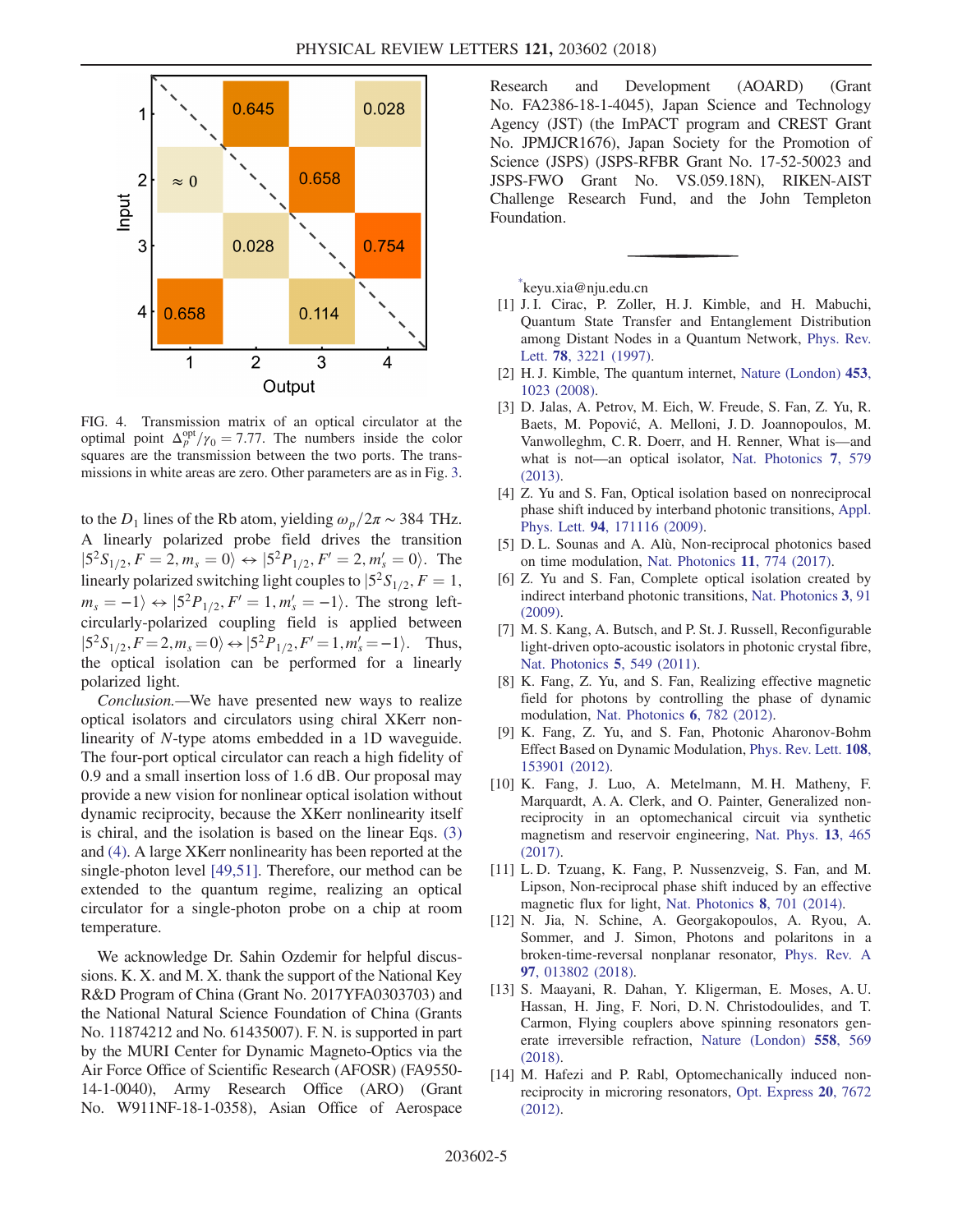<span id="page-4-8"></span>

FIG. 4. Transmission matrix of an optical circulator at the optimal point  $\Delta_p^{\text{opt}}/\gamma_0 = 7.77$ . The numbers inside the color squares are the transmission between the two ports. The transsquares are the transmission between the two ports. The transmissions in white areas are zero. Other parameters are as in Fig. [3.](#page-3-1)

to the  $D_1$  lines of the Rb atom, yielding  $\omega_p/2\pi \sim 384$  THz. A linearly polarized probe field drives the transition  $|5^2S_{1/2}, F = 2, m_s = 0\rangle \leftrightarrow |5^2P_{1/2}, F' = 2, m'_s = 0\rangle$ . The linearly polarized switching light couples to  $|5^2S_{1/2}, F = 1$ ;  $m_s = -1$ )  $\leftrightarrow$   $|5^2P_{1/2}, F'=1, m'_s = -1$ ). The strong left-<br>circularly polarized coupling field is applied between circularly-polarized coupling field is applied between  $|5^2S_{1/2}, F=2, m_s = 0\rangle \leftrightarrow |5^2P_{1/2}, F'=1, m'_s = -1\rangle$ . Thus, the optical isolation can be performed for a linearly polarized light.

Conclusion.—We have presented new ways to realize optical isolators and circulators using chiral XKerr nonlinearity of N-type atoms embedded in a 1D waveguide. The four-port optical circulator can reach a high fidelity of 0.9 and a small insertion loss of 1.6 dB. Our proposal may provide a new vision for nonlinear optical isolation without dynamic reciprocity, because the XKerr nonlinearity itself is chiral, and the isolation is based on the linear Eqs. [\(3\)](#page-2-1) and [\(4\)](#page-2-2). A large XKerr nonlinearity has been reported at the single-photon level [\[49,51\].](#page-5-12) Therefore, our method can be extended to the quantum regime, realizing an optical circulator for a single-photon probe on a chip at room temperature.

We acknowledge Dr. Sahin Ozdemir for helpful discussions. K. X. and M. X. thank the support of the National Key R&D Program of China (Grant No. 2017YFA0303703) and the National Natural Science Foundation of China (Grants No. 11874212 and No. 61435007). F. N. is supported in part by the MURI Center for Dynamic Magneto-Optics via the Air Force Office of Scientific Research (AFOSR) (FA9550- 14-1-0040), Army Research Office (ARO) (Grant No. W911NF-18-1-0358), Asian Office of Aerospace Research and Development (AOARD) (Grant No. FA2386-18-1-4045), Japan Science and Technology Agency (JST) (the ImPACT program and CREST Grant No. JPMJCR1676), Japan Society for the Promotion of Science (JSPS) (JSPS-RFBR Grant No. 17-52-50023 and JSPS-FWO Grant No. VS.059.18N), RIKEN-AIST Challenge Research Fund, and the John Templeton Foundation.

<span id="page-4-0"></span>[\\*](#page-0-0) keyu.xia@nju.edu.cn

- <span id="page-4-1"></span>[1] J. I. Cirac, P. Zoller, H. J. Kimble, and H. Mabuchi, Quantum State Transfer and Entanglement Distribution among Distant Nodes in a Quantum Network, [Phys. Rev.](https://doi.org/10.1103/PhysRevLett.78.3221) Lett. 78[, 3221 \(1997\)](https://doi.org/10.1103/PhysRevLett.78.3221).
- <span id="page-4-2"></span>[2] H. J. Kimble, The quantum internet, [Nature \(London\)](https://doi.org/10.1038/nature07127) 453, [1023 \(2008\)](https://doi.org/10.1038/nature07127).
- [3] D. Jalas, A. Petrov, M. Eich, W. Freude, S. Fan, Z. Yu, R. Baets, M. Popović, A. Melloni, J. D. Joannopoulos, M. Vanwolleghm, C. R. Doerr, and H. Renner, What is—and what is not—an optical isolator, [Nat. Photonics](https://doi.org/10.1038/nphoton.2013.185) 7, 579 [\(2013\).](https://doi.org/10.1038/nphoton.2013.185)
- <span id="page-4-3"></span>[4] Z. Yu and S. Fan, Optical isolation based on nonreciprocal phase shift induced by interband photonic transitions, [Appl.](https://doi.org/10.1063/1.3127531) Phys. Lett. 94[, 171116 \(2009\).](https://doi.org/10.1063/1.3127531)
- [5] D. L. Sounas and A. Alù, Non-reciprocal photonics based on time modulation, [Nat. Photonics](https://doi.org/10.1038/s41566-017-0051-x) 11, 774 (2017).
- [6] Z. Yu and S. Fan, Complete optical isolation created by indirect interband photonic transitions, [Nat. Photonics](https://doi.org/10.1038/nphoton.2008.273) 3, 91  $(2009)$
- [7] M. S. Kang, A. Butsch, and P. St. J. Russell, Reconfigurable light-driven opto-acoustic isolators in photonic crystal fibre, [Nat. Photonics](https://doi.org/10.1038/nphoton.2011.180) 5, 549 (2011).
- <span id="page-4-4"></span>[8] K. Fang, Z. Yu, and S. Fan, Realizing effective magnetic field for photons by controlling the phase of dynamic modulation, [Nat. Photonics](https://doi.org/10.1038/nphoton.2012.236) 6, 782 (2012).
- [9] K. Fang, Z. Yu, and S. Fan, Photonic Aharonov-Bohm Effect Based on Dynamic Modulation, [Phys. Rev. Lett.](https://doi.org/10.1103/PhysRevLett.108.153901) 108, [153901 \(2012\).](https://doi.org/10.1103/PhysRevLett.108.153901)
- <span id="page-4-7"></span>[10] K. Fang, J. Luo, A. Metelmann, M. H. Matheny, F. Marquardt, A. A. Clerk, and O. Painter, Generalized nonreciprocity in an optomechanical circuit via synthetic magnetism and reservoir engineering, [Nat. Phys.](https://doi.org/10.1038/nphys4009) 13, 465 [\(2017\).](https://doi.org/10.1038/nphys4009)
- [11] L. D. Tzuang, K. Fang, P. Nussenzveig, S. Fan, and M. Lipson, Non-reciprocal phase shift induced by an effective magnetic flux for light, [Nat. Photonics](https://doi.org/10.1038/nphoton.2014.177) 8, 701 (2014).
- <span id="page-4-5"></span>[12] N. Jia, N. Schine, A. Georgakopoulos, A. Ryou, A. Sommer, and J. Simon, Photons and polaritons in a broken-time-reversal nonplanar resonator, [Phys. Rev. A](https://doi.org/10.1103/PhysRevA.97.013802) 97[, 013802 \(2018\).](https://doi.org/10.1103/PhysRevA.97.013802)
- <span id="page-4-6"></span>[13] S. Maayani, R. Dahan, Y. Kligerman, E. Moses, A. U. Hassan, H. Jing, F. Nori, D. N. Christodoulides, and T. Carmon, Flying couplers above spinning resonators generate irreversible refraction, [Nature \(London\)](https://doi.org/10.1038/s41586-018-0245-5) 558, 569 [\(2018\).](https://doi.org/10.1038/s41586-018-0245-5)
- [14] M. Hafezi and P. Rabl, Optomechanically induced nonreciprocity in microring resonators, [Opt. Express](https://doi.org/10.1364/OE.20.007672) 20, 7672 [\(2012\).](https://doi.org/10.1364/OE.20.007672)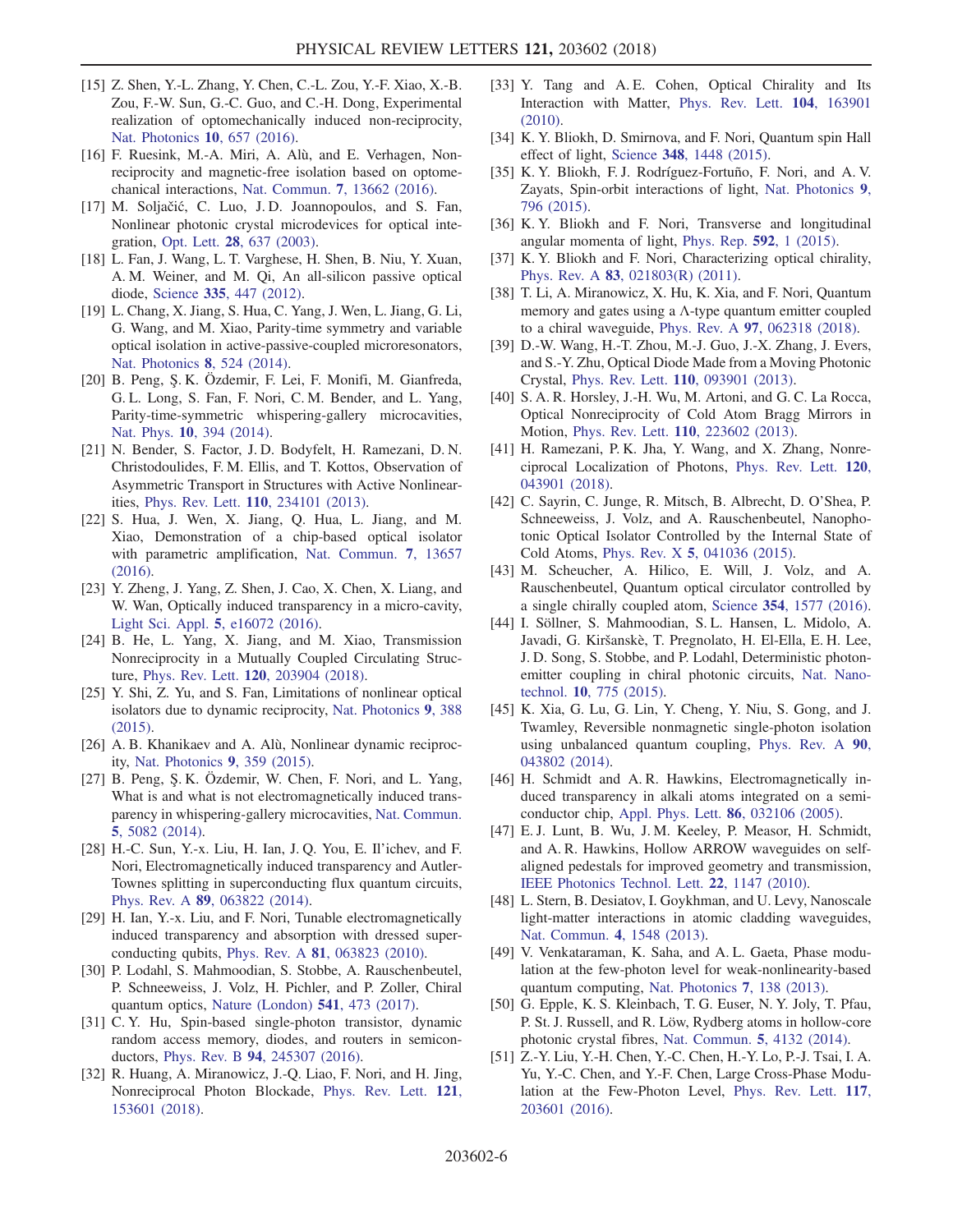- [15] Z. Shen, Y.-L. Zhang, Y. Chen, C.-L. Zou, Y.-F. Xiao, X.-B. Zou, F.-W. Sun, G.-C. Guo, and C.-H. Dong, Experimental realization of optomechanically induced non-reciprocity, [Nat. Photonics](https://doi.org/10.1038/nphoton.2016.161) 10, 657 (2016).
- [16] F. Ruesink, M.-A. Miri, A. Alù, and E. Verhagen, Nonreciprocity and magnetic-free isolation based on optomechanical interactions, Nat. Commun. 7[, 13662 \(2016\).](https://doi.org/10.1038/ncomms13662)
- <span id="page-5-0"></span>[17] M. Soljačić, C. Luo, J.D. Joannopoulos, and S. Fan, Nonlinear photonic crystal microdevices for optical integration, Opt. Lett. 28[, 637 \(2003\).](https://doi.org/10.1364/OL.28.000637)
- [18] L. Fan, J. Wang, L. T. Varghese, H. Shen, B. Niu, Y. Xuan, A. M. Weiner, and M. Qi, An all-silicon passive optical diode, Science 335[, 447 \(2012\).](https://doi.org/10.1126/science.1214383)
- <span id="page-5-1"></span>[19] L. Chang, X. Jiang, S. Hua, C. Yang, J. Wen, L. Jiang, G. Li, G. Wang, and M. Xiao, Parity-time symmetry and variable optical isolation in active-passive-coupled microresonators, [Nat. Photonics](https://doi.org/10.1038/nphoton.2014.133) 8, 524 (2014).
- [20] B. Peng, Ş. K. Özdemir, F. Lei, F. Monifi, M. Gianfreda, G. L. Long, S. Fan, F. Nori, C. M. Bender, and L. Yang, Parity-time-symmetric whispering-gallery microcavities, Nat. Phys. 10[, 394 \(2014\)](https://doi.org/10.1038/nphys2927).
- [21] N. Bender, S. Factor, J. D. Bodyfelt, H. Ramezani, D. N. Christodoulides, F. M. Ellis, and T. Kottos, Observation of Asymmetric Transport in Structures with Active Nonlinearities, Phys. Rev. Lett. 110[, 234101 \(2013\)](https://doi.org/10.1103/PhysRevLett.110.234101).
- <span id="page-5-3"></span>[22] S. Hua, J. Wen, X. Jiang, Q. Hua, L. Jiang, and M. Xiao, Demonstration of a chip-based optical isolator with parametric amplification, [Nat. Commun.](https://doi.org/10.1038/ncomms13657) 7, 13657 [\(2016\).](https://doi.org/10.1038/ncomms13657)
- [23] Y. Zheng, J. Yang, Z. Shen, J. Cao, X. Chen, X. Liang, and W. Wan, Optically induced transparency in a micro-cavity, Light Sci. Appl. 5[, e16072 \(2016\).](https://doi.org/10.1038/lsa.2016.72)
- [24] B. He, L. Yang, X. Jiang, and M. Xiao, Transmission Nonreciprocity in a Mutually Coupled Circulating Structure, Phys. Rev. Lett. 120[, 203904 \(2018\)](https://doi.org/10.1103/PhysRevLett.120.203904).
- <span id="page-5-2"></span>[25] Y. Shi, Z. Yu, and S. Fan, Limitations of nonlinear optical isolators due to dynamic reciprocity, [Nat. Photonics](https://doi.org/10.1038/nphoton.2015.79) 9, 388 [\(2015\).](https://doi.org/10.1038/nphoton.2015.79)
- [26] A. B. Khanikaev and A. Alù, Nonlinear dynamic reciprocity, [Nat. Photonics](https://doi.org/10.1038/nphoton.2015.86) 9, 359 (2015).
- <span id="page-5-4"></span>[27] B. Peng, Ş. K. Özdemir, W. Chen, F. Nori, and L. Yang, What is and what is not electromagnetically induced transparency in whispering-gallery microcavities, [Nat. Commun.](https://doi.org/10.1038/ncomms6082) 5[, 5082 \(2014\).](https://doi.org/10.1038/ncomms6082)
- [28] H.-C. Sun, Y.-x. Liu, H. Ian, J. Q. You, E. Il'ichev, and F. Nori, Electromagnetically induced transparency and Autler-Townes splitting in superconducting flux quantum circuits, Phys. Rev. A 89[, 063822 \(2014\)](https://doi.org/10.1103/PhysRevA.89.063822).
- [29] H. Ian, Y.-x. Liu, and F. Nori, Tunable electromagnetically induced transparency and absorption with dressed superconducting qubits, Phys. Rev. A 81[, 063823 \(2010\).](https://doi.org/10.1103/PhysRevA.81.063823)
- <span id="page-5-5"></span>[30] P. Lodahl, S. Mahmoodian, S. Stobbe, A. Rauschenbeutel, P. Schneeweiss, J. Volz, H. Pichler, and P. Zoller, Chiral quantum optics, [Nature \(London\)](https://doi.org/10.1038/nature21037) 541, 473 (2017).
- [31] C. Y. Hu, Spin-based single-photon transistor, dynamic random access memory, diodes, and routers in semiconductors, Phys. Rev. B 94[, 245307 \(2016\)](https://doi.org/10.1103/PhysRevB.94.245307).
- [32] R. Huang, A. Miranowicz, J.-Q. Liao, F. Nori, and H. Jing, Nonreciprocal Photon Blockade, [Phys. Rev. Lett.](https://doi.org/10.1103/PhysRevLett.121.153601) 121, [153601 \(2018\).](https://doi.org/10.1103/PhysRevLett.121.153601)
- <span id="page-5-6"></span>[33] Y. Tang and A. E. Cohen, Optical Chirality and Its Interaction with Matter, [Phys. Rev. Lett.](https://doi.org/10.1103/PhysRevLett.104.163901) 104, 163901 [\(2010\).](https://doi.org/10.1103/PhysRevLett.104.163901)
- [34] K. Y. Bliokh, D. Smirnova, and F. Nori, Quantum spin Hall effect of light, Science 348[, 1448 \(2015\)](https://doi.org/10.1126/science.aaa9519).
- [35] K. Y. Bliokh, F. J. Rodríguez-Fortuño, F. Nori, and A. V. Zayats, Spin-orbit interactions of light, [Nat. Photonics](https://doi.org/10.1038/nphoton.2015.201) 9, [796 \(2015\)](https://doi.org/10.1038/nphoton.2015.201).
- [36] K. Y. Bliokh and F. Nori, Transverse and longitudinal angular momenta of light, [Phys. Rep.](https://doi.org/10.1016/j.physrep.2015.06.003) 592, 1 (2015).
- [37] K. Y. Bliokh and F. Nori, Characterizing optical chirality, Phys. Rev. A 83[, 021803\(R\) \(2011\).](https://doi.org/10.1103/PhysRevA.83.021803)
- [38] T. Li, A. Miranowicz, X. Hu, K. Xia, and F. Nori, Quantum memory and gates using a  $\Lambda$ -type quantum emitter coupled to a chiral waveguide, Phys. Rev. A 97[, 062318 \(2018\).](https://doi.org/10.1103/PhysRevA.97.062318)
- <span id="page-5-7"></span>[39] D.-W. Wang, H.-T. Zhou, M.-J. Guo, J.-X. Zhang, J. Evers, and S.-Y. Zhu, Optical Diode Made from a Moving Photonic Crystal, Phys. Rev. Lett. 110[, 093901 \(2013\).](https://doi.org/10.1103/PhysRevLett.110.093901)
- [40] S. A. R. Horsley, J.-H. Wu, M. Artoni, and G. C. La Rocca, Optical Nonreciprocity of Cold Atom Bragg Mirrors in Motion, Phys. Rev. Lett. 110[, 223602 \(2013\)](https://doi.org/10.1103/PhysRevLett.110.223602).
- [41] H. Ramezani, P. K. Jha, Y. Wang, and X. Zhang, Nonreciprocal Localization of Photons, [Phys. Rev. Lett.](https://doi.org/10.1103/PhysRevLett.120.043901) 120, [043901 \(2018\).](https://doi.org/10.1103/PhysRevLett.120.043901)
- <span id="page-5-8"></span>[42] C. Sayrin, C. Junge, R. Mitsch, B. Albrecht, D. O'Shea, P. Schneeweiss, J. Volz, and A. Rauschenbeutel, Nanophotonic Optical Isolator Controlled by the Internal State of Cold Atoms, Phys. Rev. X 5[, 041036 \(2015\)](https://doi.org/10.1103/PhysRevX.5.041036).
- <span id="page-5-11"></span>[43] M. Scheucher, A. Hilico, E. Will, J. Volz, and A. Rauschenbeutel, Quantum optical circulator controlled by a single chirally coupled atom, Science 354[, 1577 \(2016\).](https://doi.org/10.1126/science.aaj2118)
- [44] I. Söllner, S. Mahmoodian, S. L. Hansen, L. Midolo, A. Javadi, G. Kiršanskè, T. Pregnolato, H. El-Ella, E. H. Lee, J. D. Song, S. Stobbe, and P. Lodahl, Deterministic photonemitter coupling in chiral photonic circuits, [Nat. Nano](https://doi.org/10.1038/nnano.2015.159)technol. 10[, 775 \(2015\)](https://doi.org/10.1038/nnano.2015.159).
- [45] K. Xia, G. Lu, G. Lin, Y. Cheng, Y. Niu, S. Gong, and J. Twamley, Reversible nonmagnetic single-photon isolation using unbalanced quantum coupling, [Phys. Rev. A](https://doi.org/10.1103/PhysRevA.90.043802) 90, [043802 \(2014\).](https://doi.org/10.1103/PhysRevA.90.043802)
- <span id="page-5-9"></span>[46] H. Schmidt and A. R. Hawkins, Electromagnetically induced transparency in alkali atoms integrated on a semiconductor chip, [Appl. Phys. Lett.](https://doi.org/10.1063/1.1853528) 86, 032106 (2005).
- [47] E. J. Lunt, B. Wu, J. M. Keeley, P. Measor, H. Schmidt, and A. R. Hawkins, Hollow ARROW waveguides on selfaligned pedestals for improved geometry and transmission, [IEEE Photonics Technol. Lett.](https://doi.org/10.1109/LPT.2010.2051145) 22, 1147 (2010).
- [48] L. Stern, B. Desiatov, I. Goykhman, and U. Levy, Nanoscale light-matter interactions in atomic cladding waveguides, [Nat. Commun.](https://doi.org/10.1038/ncomms2554) 4, 1548 (2013).
- <span id="page-5-12"></span>[49] V. Venkataraman, K. Saha, and A. L. Gaeta, Phase modulation at the few-photon level for weak-nonlinearity-based quantum computing, [Nat. Photonics](https://doi.org/10.1038/nphoton.2012.283) 7, 138 (2013).
- [50] G. Epple, K. S. Kleinbach, T. G. Euser, N. Y. Joly, T. Pfau, P. St. J. Russell, and R. Löw, Rydberg atoms in hollow-core photonic crystal fibres, [Nat. Commun.](https://doi.org/10.1038/ncomms5132) 5, 4132 (2014).
- <span id="page-5-10"></span>[51] Z.-Y. Liu, Y.-H. Chen, Y.-C. Chen, H.-Y. Lo, P.-J. Tsai, I. A. Yu, Y.-C. Chen, and Y.-F. Chen, Large Cross-Phase Modulation at the Few-Photon Level, [Phys. Rev. Lett.](https://doi.org/10.1103/PhysRevLett.117.203601) 117, [203601 \(2016\).](https://doi.org/10.1103/PhysRevLett.117.203601)